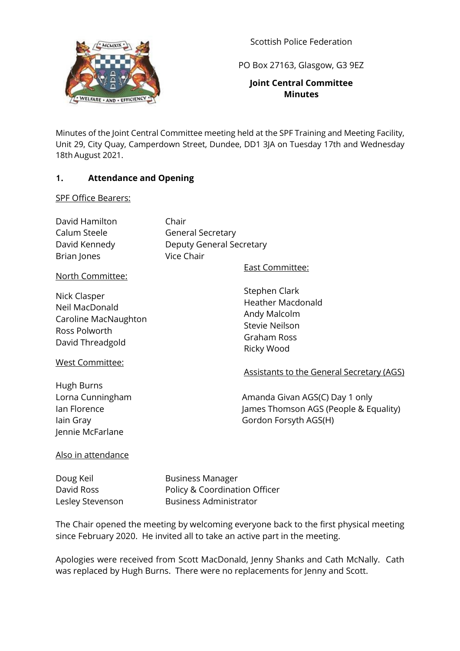

Scottish Police Federation

PO Box 27163, Glasgow, G3 9EZ

### **Joint Central Committee Minutes**

Minutes of the Joint Central Committee meeting held at the SPF Training and Meeting Facility, Unit 29, City Quay, Camperdown Street, Dundee, DD1 3JA on Tuesday 17th and Wednesday 18th August 2021.

### **1. Attendance and Opening**

#### SPF Office Bearers:

| David Hamilton | Chair                    |
|----------------|--------------------------|
| Calum Steele   | <b>General Secretary</b> |
| David Kennedy  | Deputy General Secretary |
| Brian Jones    | Vice Chair               |
|                |                          |

North Committee:

Nick Clasper Neil MacDonald Caroline MacNaughton Ross Polworth David Threadgold

East Committee:

Stephen Clark Heather Macdonald Andy Malcolm Stevie Neilson Graham Ross Ricky Wood

#### West Committee:

Hugh Burns Jennie McFarlane Assistants to the General Secretary (AGS)

Lorna Cunningham **Amanda Givan AGS(C)** Day 1 only Ian Florence **Iames Thomson AGS (People & Equality)** Iain Gray Gordon Forsyth AGS(H)

### Also in attendance

Doug Keil Business Manager

David Ross Policy & Coordination Officer Lesley Stevenson Business Administrator

The Chair opened the meeting by welcoming everyone back to the first physical meeting since February 2020. He invited all to take an active part in the meeting.

Apologies were received from Scott MacDonald, Jenny Shanks and Cath McNally. Cath was replaced by Hugh Burns. There were no replacements for Jenny and Scott.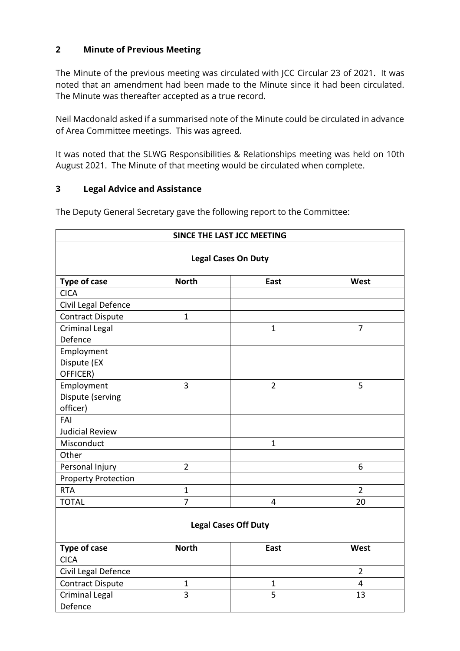### **2 Minute of Previous Meeting**

The Minute of the previous meeting was circulated with JCC Circular 23 of 2021. It was noted that an amendment had been made to the Minute since it had been circulated. The Minute was thereafter accepted as a true record.

Neil Macdonald asked if a summarised note of the Minute could be circulated in advance of Area Committee meetings. This was agreed.

It was noted that the SLWG Responsibilities & Relationships meeting was held on 10th August 2021. The Minute of that meeting would be circulated when complete.

### **3 Legal Advice and Assistance**

The Deputy General Secretary gave the following report to the Committee:

| SINCE THE LAST JCC MEETING<br><b>Legal Cases On Duty</b> |                             |                |                |  |  |
|----------------------------------------------------------|-----------------------------|----------------|----------------|--|--|
|                                                          |                             |                |                |  |  |
| <b>CICA</b>                                              |                             |                |                |  |  |
| Civil Legal Defence                                      |                             |                |                |  |  |
| <b>Contract Dispute</b>                                  | $\mathbf{1}$                |                |                |  |  |
| <b>Criminal Legal</b><br>Defence                         |                             | $\mathbf{1}$   | $\overline{7}$ |  |  |
| Employment                                               |                             |                |                |  |  |
| Dispute (EX<br>OFFICER)                                  |                             |                |                |  |  |
| Employment                                               | 3                           | $\overline{2}$ | 5              |  |  |
| Dispute (serving<br>officer)                             |                             |                |                |  |  |
| FAI                                                      |                             |                |                |  |  |
| <b>Judicial Review</b>                                   |                             |                |                |  |  |
| Misconduct                                               |                             | $\mathbf{1}$   |                |  |  |
| Other                                                    |                             |                |                |  |  |
| Personal Injury                                          | $\overline{2}$              |                | 6              |  |  |
| <b>Property Protection</b>                               |                             |                |                |  |  |
| <b>RTA</b>                                               | $\mathbf{1}$                |                | $\overline{2}$ |  |  |
| <b>TOTAL</b>                                             | $\overline{7}$              | 4              | 20             |  |  |
|                                                          | <b>Legal Cases Off Duty</b> |                |                |  |  |
| <b>Type of case</b>                                      | <b>North</b>                | East           | West           |  |  |
| <b>CICA</b>                                              |                             |                |                |  |  |
| Civil Legal Defence                                      |                             |                | $\overline{2}$ |  |  |
| <b>Contract Dispute</b>                                  | $\mathbf{1}$                | $\mathbf 1$    | 4              |  |  |
| <b>Criminal Legal</b><br>Defence                         | 3                           | 5              | 13             |  |  |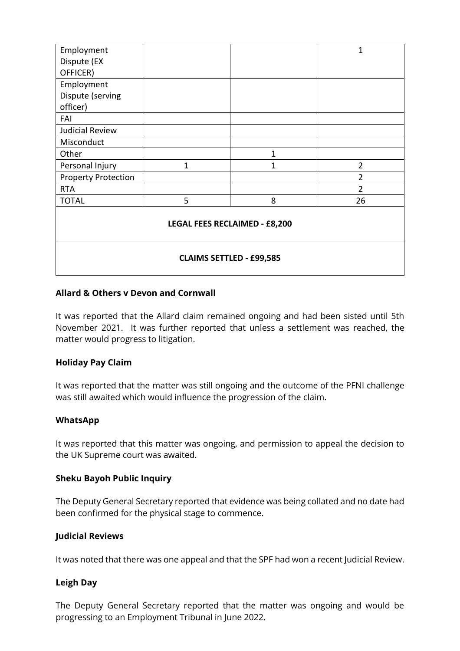| Employment                           |              |              | 1              |  |
|--------------------------------------|--------------|--------------|----------------|--|
| Dispute (EX                          |              |              |                |  |
| OFFICER)                             |              |              |                |  |
| Employment                           |              |              |                |  |
| Dispute (serving                     |              |              |                |  |
| officer)                             |              |              |                |  |
| FAI                                  |              |              |                |  |
| <b>Judicial Review</b>               |              |              |                |  |
| Misconduct                           |              |              |                |  |
| Other                                |              | $\mathbf{1}$ |                |  |
| Personal Injury                      | $\mathbf{1}$ | 1            | $\overline{2}$ |  |
| <b>Property Protection</b>           |              |              | $\overline{2}$ |  |
| <b>RTA</b>                           |              |              | $\overline{2}$ |  |
| <b>TOTAL</b>                         | 5            | 8            | 26             |  |
| <b>LEGAL FEES RECLAIMED - £8,200</b> |              |              |                |  |
| <b>CLAIMS SETTLED - £99,585</b>      |              |              |                |  |

#### **Allard & Others v Devon and Cornwall**

It was reported that the Allard claim remained ongoing and had been sisted until 5th November 2021. It was further reported that unless a settlement was reached, the matter would progress to litigation.

#### **Holiday Pay Claim**

It was reported that the matter was still ongoing and the outcome of the PFNI challenge was still awaited which would influence the progression of the claim.

#### **WhatsApp**

It was reported that this matter was ongoing, and permission to appeal the decision to the UK Supreme court was awaited.

#### **Sheku Bayoh Public Inquiry**

The Deputy General Secretary reported that evidence was being collated and no date had been confirmed for the physical stage to commence.

#### **Judicial Reviews**

It was noted that there was one appeal and that the SPF had won a recent Judicial Review.

#### **Leigh Day**

The Deputy General Secretary reported that the matter was ongoing and would be progressing to an Employment Tribunal in June 2022.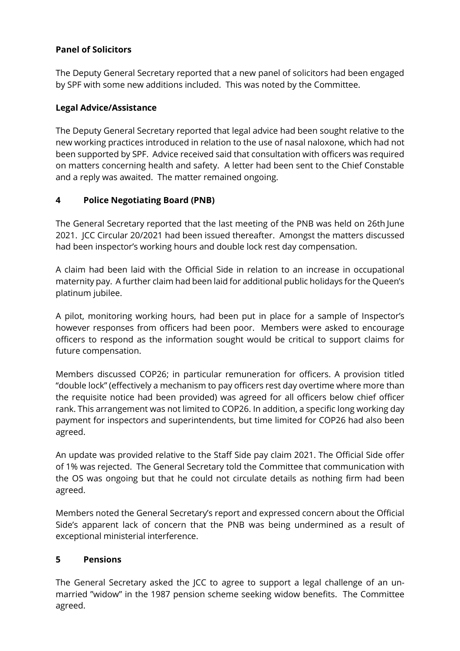# **Panel of Solicitors**

The Deputy General Secretary reported that a new panel of solicitors had been engaged by SPF with some new additions included. This was noted by the Committee.

# **Legal Advice/Assistance**

The Deputy General Secretary reported that legal advice had been sought relative to the new working practices introduced in relation to the use of nasal naloxone, which had not been supported by SPF. Advice received said that consultation with officers was required on matters concerning health and safety. A letter had been sent to the Chief Constable and a reply was awaited. The matter remained ongoing.

# **4 Police Negotiating Board (PNB)**

The General Secretary reported that the last meeting of the PNB was held on 26th June 2021. JCC Circular 20/2021 had been issued thereafter. Amongst the matters discussed had been inspector's working hours and double lock rest day compensation.

A claim had been laid with the Official Side in relation to an increase in occupational maternity pay. A further claim had been laid for additional public holidays for the Queen's platinum jubilee.

A pilot, monitoring working hours, had been put in place for a sample of Inspector's however responses from officers had been poor. Members were asked to encourage officers to respond as the information sought would be critical to support claims for future compensation.

Members discussed COP26; in particular remuneration for officers. A provision titled "double lock" (effectively a mechanism to pay officers rest day overtime where more than the requisite notice had been provided) was agreed for all officers below chief officer rank. This arrangement was not limited to COP26. In addition, a specific long working day payment for inspectors and superintendents, but time limited for COP26 had also been agreed.

An update was provided relative to the Staff Side pay claim 2021. The Official Side offer of 1% was rejected. The General Secretary told the Committee that communication with the OS was ongoing but that he could not circulate details as nothing firm had been agreed.

Members noted the General Secretary's report and expressed concern about the Official Side's apparent lack of concern that the PNB was being undermined as a result of exceptional ministerial interference.

### **5 Pensions**

The General Secretary asked the JCC to agree to support a legal challenge of an unmarried "widow" in the 1987 pension scheme seeking widow benefits. The Committee agreed.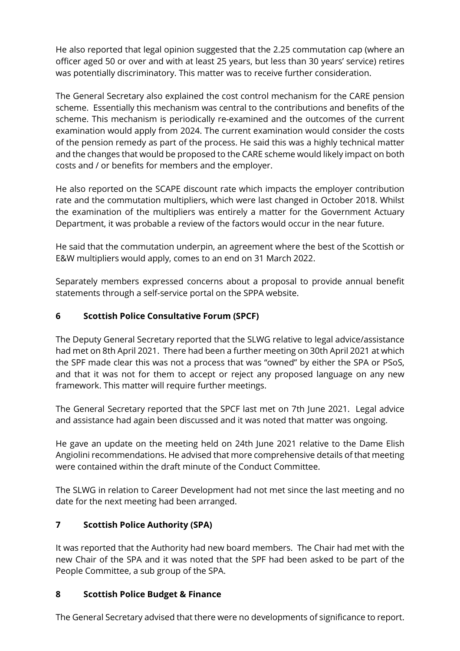He also reported that legal opinion suggested that the 2.25 commutation cap (where an officer aged 50 or over and with at least 25 years, but less than 30 years' service) retires was potentially discriminatory. This matter was to receive further consideration.

The General Secretary also explained the cost control mechanism for the CARE pension scheme. Essentially this mechanism was central to the contributions and benefits of the scheme. This mechanism is periodically re-examined and the outcomes of the current examination would apply from 2024. The current examination would consider the costs of the pension remedy as part of the process. He said this was a highly technical matter and the changes that would be proposed to the CARE scheme would likely impact on both costs and / or benefits for members and the employer.

He also reported on the SCAPE discount rate which impacts the employer contribution rate and the commutation multipliers, which were last changed in October 2018. Whilst the examination of the multipliers was entirely a matter for the Government Actuary Department, it was probable a review of the factors would occur in the near future.

He said that the commutation underpin, an agreement where the best of the Scottish or E&W multipliers would apply, comes to an end on 31 March 2022.

Separately members expressed concerns about a proposal to provide annual benefit statements through a self-service portal on the SPPA website.

# **6 Scottish Police Consultative Forum (SPCF)**

The Deputy General Secretary reported that the SLWG relative to legal advice/assistance had met on 8th April 2021. There had been a further meeting on 30th April 2021 at which the SPF made clear this was not a process that was "owned" by either the SPA or PSoS, and that it was not for them to accept or reject any proposed language on any new framework. This matter will require further meetings.

The General Secretary reported that the SPCF last met on 7th June 2021. Legal advice and assistance had again been discussed and it was noted that matter was ongoing.

He gave an update on the meeting held on 24th June 2021 relative to the Dame Elish Angiolini recommendations. He advised that more comprehensive details of that meeting were contained within the draft minute of the Conduct Committee.

The SLWG in relation to Career Development had not met since the last meeting and no date for the next meeting had been arranged.

# **7 Scottish Police Authority (SPA)**

It was reported that the Authority had new board members. The Chair had met with the new Chair of the SPA and it was noted that the SPF had been asked to be part of the People Committee, a sub group of the SPA.

### **8 Scottish Police Budget & Finance**

The General Secretary advised that there were no developments of significance to report.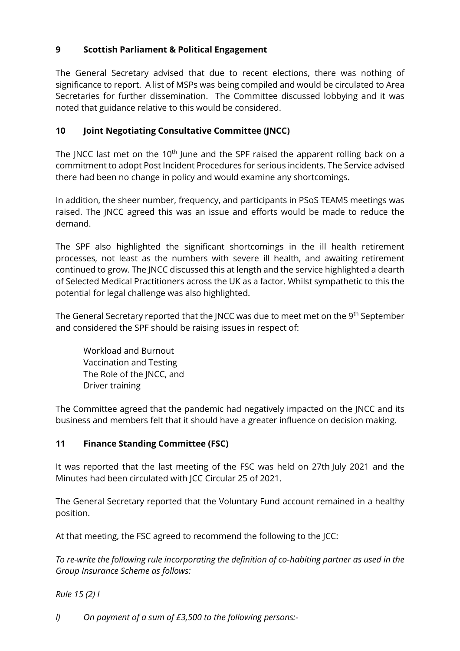# **9 Scottish Parliament & Political Engagement**

The General Secretary advised that due to recent elections, there was nothing of significance to report. A list of MSPs was being compiled and would be circulated to Area Secretaries for further dissemination. The Committee discussed lobbying and it was noted that guidance relative to this would be considered.

# **10 Joint Negotiating Consultative Committee (JNCC)**

The JNCC last met on the  $10<sup>th</sup>$  June and the SPF raised the apparent rolling back on a commitment to adopt Post Incident Procedures for serious incidents. The Service advised there had been no change in policy and would examine any shortcomings.

In addition, the sheer number, frequency, and participants in PSoS TEAMS meetings was raised. The JNCC agreed this was an issue and efforts would be made to reduce the demand.

The SPF also highlighted the significant shortcomings in the ill health retirement processes, not least as the numbers with severe ill health, and awaiting retirement continued to grow. The JNCC discussed this at length and the service highlighted a dearth of Selected Medical Practitioners across the UK as a factor. Whilst sympathetic to this the potential for legal challenge was also highlighted.

The General Secretary reported that the JNCC was due to meet met on the 9<sup>th</sup> September and considered the SPF should be raising issues in respect of:

Workload and Burnout Vaccination and Testing The Role of the JNCC, and Driver training

The Committee agreed that the pandemic had negatively impacted on the JNCC and its business and members felt that it should have a greater influence on decision making.

### **11 Finance Standing Committee (FSC)**

It was reported that the last meeting of the FSC was held on 27th July 2021 and the Minutes had been circulated with JCC Circular 25 of 2021.

The General Secretary reported that the Voluntary Fund account remained in a healthy position.

At that meeting, the FSC agreed to recommend the following to the JCC:

*To re-write the following rule incorporating the definition of co-habiting partner as used in the Group Insurance Scheme as follows:*

*Rule 15 (2) l*

*l) On payment of a sum of £3,500 to the following persons:-*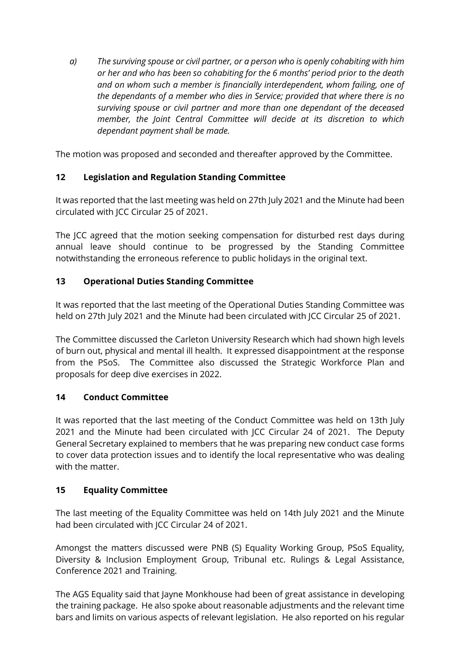*a) The surviving spouse or civil partner, or a person who is openly cohabiting with him or her and who has been so cohabiting for the 6 months' period prior to the death and on whom such a member is financially interdependent, whom failing, one of the dependants of a member who dies in Service; provided that where there is no surviving spouse or civil partner and more than one dependant of the deceased member, the Joint Central Committee will decide at its discretion to which dependant payment shall be made.* 

The motion was proposed and seconded and thereafter approved by the Committee.

# **12 Legislation and Regulation Standing Committee**

It was reported that the last meeting was held on 27th July 2021 and the Minute had been circulated with JCC Circular 25 of 2021.

The JCC agreed that the motion seeking compensation for disturbed rest days during annual leave should continue to be progressed by the Standing Committee notwithstanding the erroneous reference to public holidays in the original text.

# **13 Operational Duties Standing Committee**

It was reported that the last meeting of the Operational Duties Standing Committee was held on 27th July 2021 and the Minute had been circulated with JCC Circular 25 of 2021.

The Committee discussed the Carleton University Research which had shown high levels of burn out, physical and mental ill health. It expressed disappointment at the response from the PSoS. The Committee also discussed the Strategic Workforce Plan and proposals for deep dive exercises in 2022.

### **14 Conduct Committee**

It was reported that the last meeting of the Conduct Committee was held on 13th July 2021 and the Minute had been circulated with JCC Circular 24 of 2021. The Deputy General Secretary explained to members that he was preparing new conduct case forms to cover data protection issues and to identify the local representative who was dealing with the matter.

### **15 Equality Committee**

The last meeting of the Equality Committee was held on 14th July 2021 and the Minute had been circulated with JCC Circular 24 of 2021.

Amongst the matters discussed were PNB (S) Equality Working Group, PSoS Equality, Diversity & Inclusion Employment Group, Tribunal etc. Rulings & Legal Assistance, Conference 2021 and Training.

The AGS Equality said that Jayne Monkhouse had been of great assistance in developing the training package. He also spoke about reasonable adjustments and the relevant time bars and limits on various aspects of relevant legislation. He also reported on his regular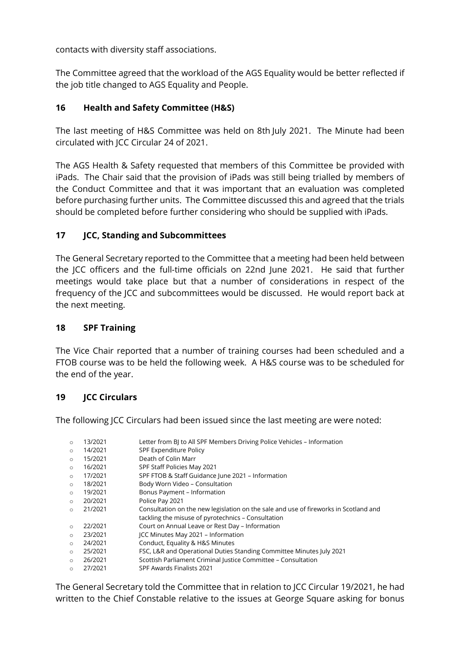contacts with diversity staff associations.

The Committee agreed that the workload of the AGS Equality would be better reflected if the job title changed to AGS Equality and People.

# **16 Health and Safety Committee (H&S)**

The last meeting of H&S Committee was held on 8th July 2021. The Minute had been circulated with JCC Circular 24 of 2021.

The AGS Health & Safety requested that members of this Committee be provided with iPads. The Chair said that the provision of iPads was still being trialled by members of the Conduct Committee and that it was important that an evaluation was completed before purchasing further units. The Committee discussed this and agreed that the trials should be completed before further considering who should be supplied with iPads.

# **17 JCC, Standing and Subcommittees**

The General Secretary reported to the Committee that a meeting had been held between the JCC officers and the full-time officials on 22nd June 2021. He said that further meetings would take place but that a number of considerations in respect of the frequency of the JCC and subcommittees would be discussed. He would report back at the next meeting.

### **18 SPF Training**

The Vice Chair reported that a number of training courses had been scheduled and a FTOB course was to be held the following week. A H&S course was to be scheduled for the end of the year.

### **19 JCC Circulars**

The following JCC Circulars had been issued since the last meeting are were noted:

| $\circ$ | 13/2021 | Letter from BI to All SPF Members Driving Police Vehicles - Information              |
|---------|---------|--------------------------------------------------------------------------------------|
| $\circ$ | 14/2021 | <b>SPF Expenditure Policy</b>                                                        |
| $\circ$ | 15/2021 | Death of Colin Marr                                                                  |
| $\circ$ | 16/2021 | SPF Staff Policies May 2021                                                          |
| $\circ$ | 17/2021 | SPF FTOB & Staff Guidance June 2021 - Information                                    |
| $\circ$ | 18/2021 | Body Worn Video - Consultation                                                       |
| $\circ$ | 19/2021 | Bonus Payment - Information                                                          |
| $\circ$ | 20/2021 | Police Pay 2021                                                                      |
| $\circ$ | 21/2021 | Consultation on the new legislation on the sale and use of fireworks in Scotland and |
|         |         | tackling the misuse of pyrotechnics - Consultation                                   |
| $\circ$ | 22/2021 | Court on Annual Leave or Rest Day - Information                                      |
| $\circ$ | 23/2021 | ICC Minutes May 2021 - Information                                                   |
| $\circ$ | 24/2021 | Conduct, Equality & H&S Minutes                                                      |
| $\circ$ | 25/2021 | FSC, L&R and Operational Duties Standing Committee Minutes July 2021                 |
| $\circ$ | 26/2021 | Scottish Parliament Criminal Justice Committee - Consultation                        |
| $\circ$ | 27/2021 | SPF Awards Finalists 2021                                                            |
|         |         |                                                                                      |

The General Secretary told the Committee that in relation to JCC Circular 19/2021, he had written to the Chief Constable relative to the issues at George Square asking for bonus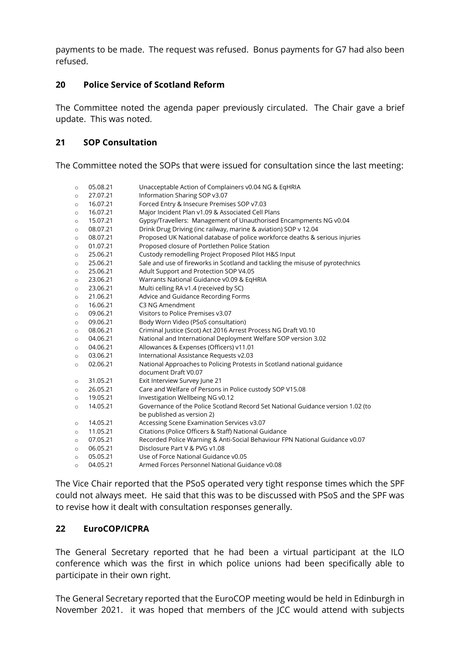payments to be made. The request was refused. Bonus payments for G7 had also been refused.

### **20 Police Service of Scotland Reform**

The Committee noted the agenda paper previously circulated. The Chair gave a brief update. This was noted.

### **21 SOP Consultation**

The Committee noted the SOPs that were issued for consultation since the last meeting:

| $\circ$ | 05.08.21 | Unacceptable Action of Complainers v0.04 NG & EqHRIA                            |
|---------|----------|---------------------------------------------------------------------------------|
| $\circ$ | 27.07.21 | Information Sharing SOP v3.07                                                   |
| $\circ$ | 16.07.21 | Forced Entry & Insecure Premises SOP v7.03                                      |
| $\circ$ | 16.07.21 | Major Incident Plan v1.09 & Associated Cell Plans                               |
| $\circ$ | 15.07.21 | Gypsy/Travellers: Management of Unauthorised Encampments NG v0.04               |
| $\circ$ | 08.07.21 | Drink Drug Driving (inc railway, marine & aviation) SOP v 12.04                 |
| $\circ$ | 08.07.21 | Proposed UK National database of police workforce deaths & serious injuries     |
| $\circ$ | 01.07.21 | Proposed closure of Portlethen Police Station                                   |
| $\circ$ | 25.06.21 | Custody remodelling Project Proposed Pilot H&S Input                            |
| $\circ$ | 25.06.21 | Sale and use of fireworks in Scotland and tackling the misuse of pyrotechnics   |
| $\circ$ | 25.06.21 | Adult Support and Protection SOP V4.05                                          |
| $\circ$ | 23.06.21 | Warrants National Guidance v0.09 & EqHRIA                                       |
| $\circ$ | 23.06.21 | Multi celling RA v1.4 (received by SC)                                          |
| $\circ$ | 21.06.21 | Advice and Guidance Recording Forms                                             |
| $\circ$ | 16.06.21 | C3 NG Amendment                                                                 |
| $\circ$ | 09.06.21 | Visitors to Police Premises v3.07                                               |
| $\circ$ | 09.06.21 | Body Worn Video (PSoS consultation)                                             |
| $\circ$ | 08.06.21 | Criminal Justice (Scot) Act 2016 Arrest Process NG Draft V0.10                  |
| $\circ$ | 04.06.21 | National and International Deployment Welfare SOP version 3.02                  |
| $\circ$ | 04.06.21 | Allowances & Expenses (Officers) v11.01                                         |
| $\circ$ | 03.06.21 | International Assistance Requests v2.03                                         |
| $\circ$ | 02.06.21 | National Approaches to Policing Protests in Scotland national guidance          |
|         |          | document Draft V0.07                                                            |
| $\circ$ | 31.05.21 | Exit Interview Survey June 21                                                   |
| $\circ$ | 26.05.21 | Care and Welfare of Persons in Police custody SOP V15.08                        |
| $\circ$ | 19.05.21 | Investigation Wellbeing NG v0.12                                                |
| $\circ$ | 14.05.21 | Governance of the Police Scotland Record Set National Guidance version 1.02 (to |
|         |          | be published as version 2)                                                      |
| $\circ$ | 14.05.21 | Accessing Scene Examination Services v3.07                                      |
| $\circ$ | 11.05.21 | Citations (Police Officers & Staff) National Guidance                           |
| $\circ$ | 07.05.21 | Recorded Police Warning & Anti-Social Behaviour FPN National Guidance v0.07     |
| $\circ$ | 06.05.21 | Disclosure Part V & PVG v1.08                                                   |
| $\circ$ | 05.05.21 | Use of Force National Guidance v0.05                                            |
| $\circ$ | 04.05.21 | Armed Forces Personnel National Guidance v0.08                                  |

The Vice Chair reported that the PSoS operated very tight response times which the SPF could not always meet. He said that this was to be discussed with PSoS and the SPF was to revise how it dealt with consultation responses generally.

### **22 EuroCOP/ICPRA**

The General Secretary reported that he had been a virtual participant at the ILO conference which was the first in which police unions had been specifically able to participate in their own right.

The General Secretary reported that the EuroCOP meeting would be held in Edinburgh in November 2021. it was hoped that members of the JCC would attend with subjects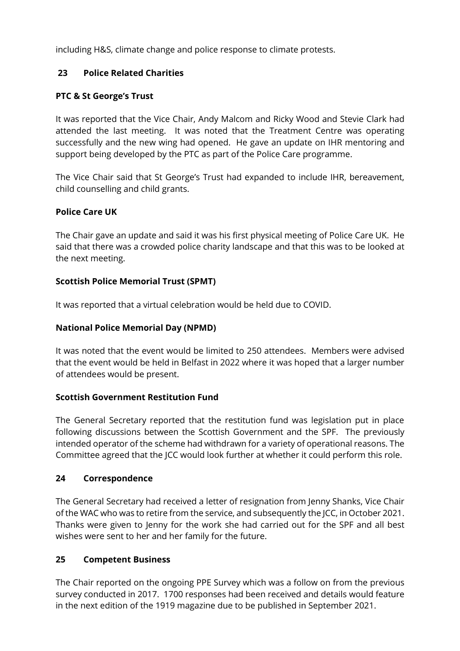including H&S, climate change and police response to climate protests.

# **23 Police Related Charities**

# **PTC & St George's Trust**

It was reported that the Vice Chair, Andy Malcom and Ricky Wood and Stevie Clark had attended the last meeting. It was noted that the Treatment Centre was operating successfully and the new wing had opened. He gave an update on IHR mentoring and support being developed by the PTC as part of the Police Care programme.

The Vice Chair said that St George's Trust had expanded to include IHR, bereavement, child counselling and child grants.

### **Police Care UK**

The Chair gave an update and said it was his first physical meeting of Police Care UK. He said that there was a crowded police charity landscape and that this was to be looked at the next meeting.

# **Scottish Police Memorial Trust (SPMT)**

It was reported that a virtual celebration would be held due to COVID.

### **National Police Memorial Day (NPMD)**

It was noted that the event would be limited to 250 attendees. Members were advised that the event would be held in Belfast in 2022 where it was hoped that a larger number of attendees would be present.

### **Scottish Government Restitution Fund**

The General Secretary reported that the restitution fund was legislation put in place following discussions between the Scottish Government and the SPF. The previously intended operator of the scheme had withdrawn for a variety of operational reasons. The Committee agreed that the JCC would look further at whether it could perform this role.

### **24 Correspondence**

The General Secretary had received a letter of resignation from Jenny Shanks, Vice Chair of the WAC who was to retire from the service, and subsequently the JCC, in October 2021. Thanks were given to Jenny for the work she had carried out for the SPF and all best wishes were sent to her and her family for the future.

### **25 Competent Business**

The Chair reported on the ongoing PPE Survey which was a follow on from the previous survey conducted in 2017. 1700 responses had been received and details would feature in the next edition of the 1919 magazine due to be published in September 2021.